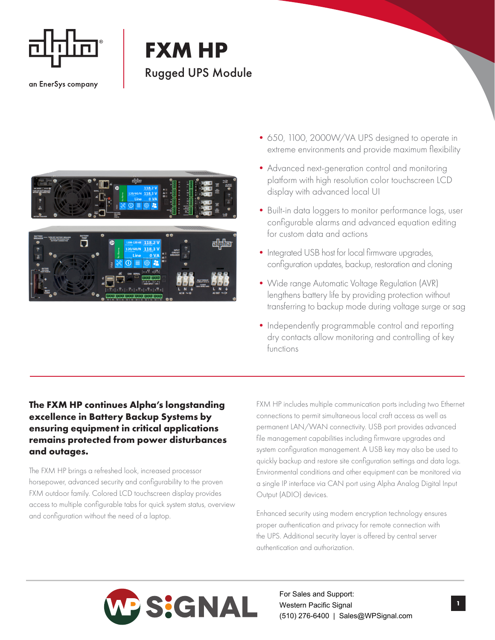

an EnerSys company

## **FXM HP** Rugged UPS Module



- •650, 1100, 2000W/VA UPS designed to operate in extreme environments and provide maximum flexibility
- •Advanced next-generation control and monitoring platform with high resolution color touchscreen LCD display with advanced local UI
- Built-in data loggers to monitor performance logs, user configurable alarms and advanced equation editing for custom data and actions
- Integrated USB host for local firmware upgrades, configuration updates, backup, restoration and cloning
- •Wide range Automatic Voltage Regulation (AVR) lengthens battery life by providing protection without transferring to backup mode during voltage surge or sag
- Independently programmable control and reporting dry contacts allow monitoring and controlling of key functions

## **The FXM HP continues Alpha's longstanding excellence in Battery Backup Systems by ensuring equipment in critical applications remains protected from power disturbances and outages.**

The FXM HP brings a refreshed look, increased processor horsepower, advanced security and configurability to the proven FXM outdoor family. Colored LCD touchscreen display provides access to multiple configurable tabs for quick system status, overview and configuration without the need of a laptop.

FXM HP includes multiple communication ports including two Ethernet connections to permit simultaneous local craft access as well as permanent LAN/WAN connectivity. USB port provides advanced file management capabilities including firmware upgrades and system configuration management. A USB key may also be used to quickly backup and restore site configuration settings and data logs. Environmental conditions and other equipment can be monitored via a single IP interface via CAN port using Alpha Analog Digital Input Output (ADIO) devices.

Enhanced security using modern encryption technology ensures proper authentication and privacy for remote connection with the UPS. Additional security layer is offered by central server authentication and authorization.